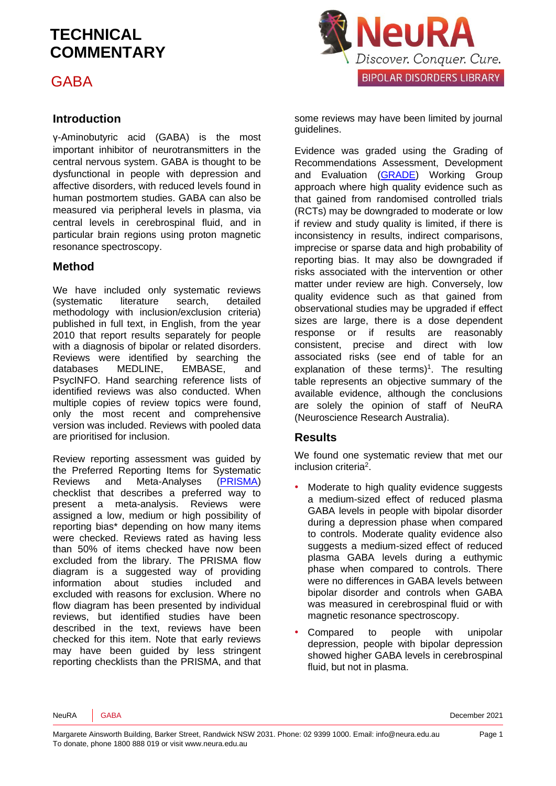GABA

#### **Introduction**

γ-Aminobutyric acid (GABA) is the most important inhibitor of neurotransmitters in the central nervous system. GABA is thought to be dysfunctional in people with depression and affective disorders, with reduced levels found in human postmortem studies. GABA can also be measured via peripheral levels in plasma, via central levels in cerebrospinal fluid, and in particular brain regions using proton magnetic resonance spectroscopy.

#### **Method**

We have included only systematic reviews (systematic literature search, detailed methodology with inclusion/exclusion criteria) published in full text, in English, from the year 2010 that report results separately for people with a diagnosis of bipolar or related disorders. Reviews were identified by searching the databases MEDLINE, EMBASE, and PsycINFO. Hand searching reference lists of identified reviews was also conducted. When multiple copies of review topics were found, only the most recent and comprehensive version was included. Reviews with pooled data are prioritised for inclusion.

Review reporting assessment was guided by the Preferred Reporting Items for Systematic Reviews and Meta-Analyses [\(PRISMA\)](http://www.prisma-statement.org/) checklist that describes a preferred way to present a meta-analysis. Reviews were assigned a low, medium or high possibility of reporting bias\* depending on how many items were checked. Reviews rated as having less than 50% of items checked have now been excluded from the library. The PRISMA flow diagram is a suggested way of providing information about studies included and excluded with reasons for exclusion. Where no flow diagram has been presented by individual reviews, but identified studies have been described in the text, reviews have been checked for this item. Note that early reviews may have been guided by less stringent reporting checklists than the PRISMA, and that



some reviews may have been limited by journal guidelines.

Evidence was graded using the Grading of Recommendations Assessment, Development and Evaluation [\(GRADE\)](http://www.gradeworkinggroup.org/) Working Group approach where high quality evidence such as that gained from randomised controlled trials (RCTs) may be downgraded to moderate or low if review and study quality is limited, if there is inconsistency in results, indirect comparisons, imprecise or sparse data and high probability of reporting bias. It may also be downgraded if risks associated with the intervention or other matter under review are high. Conversely, low quality evidence such as that gained from observational studies may be upgraded if effect sizes are large, there is a dose dependent response or if results are reasonably consistent, precise and direct with low associated risks (see end of table for an explanation of these terms[\)](#page-5-0)<sup>1</sup>. The resulting table represents an objective summary of the available evidence, although the conclusions are solely the opinion of staff of NeuRA (Neuroscience Research Australia).

#### **Results**

We found one systematic review that met our inclusion criteri[a](#page-5-1)<sup>2</sup>.

- Moderate to high quality evidence suggests a medium-sized effect of reduced plasma GABA levels in people with bipolar disorder during a depression phase when compared to controls. Moderate quality evidence also suggests a medium-sized effect of reduced plasma GABA levels during a euthymic phase when compared to controls. There were no differences in GABA levels between bipolar disorder and controls when GABA was measured in cerebrospinal fluid or with magnetic resonance spectroscopy.
- Compared to people with unipolar depression, people with bipolar depression showed higher GABA levels in cerebrospinal fluid, but not in plasma.

NeuRA GABA December 2021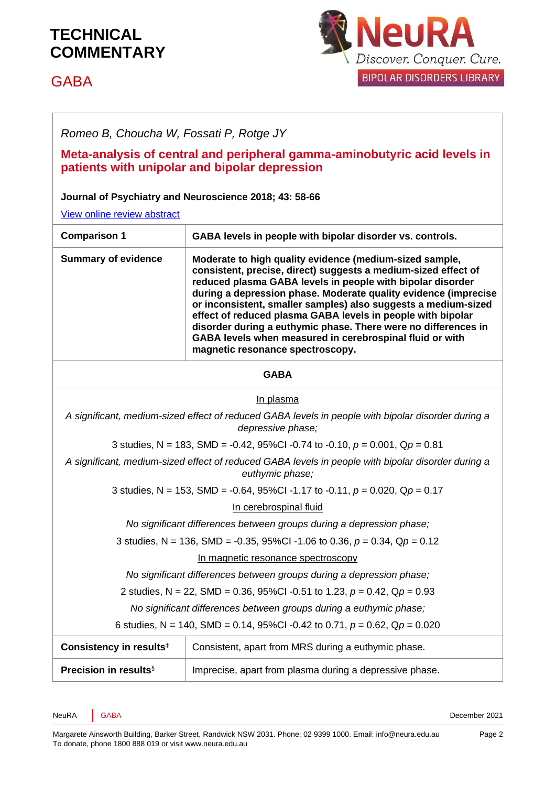# GABA



*Romeo B, Choucha W, Fossati P, Rotge JY*

#### **Meta-analysis of central and peripheral gamma-aminobutyric acid levels in patients with unipolar and bipolar depression**

#### **Journal of Psychiatry and Neuroscience 2018; 43: 58-66**

[View online review abstract](https://www.ncbi.nlm.nih.gov/pubmed/28968199) 

| <b>Comparison 1</b>                                                                                                     | GABA levels in people with bipolar disorder vs. controls.                                                                                                                                                                                                                                                                                                                                                                                                                                                                                                     |
|-------------------------------------------------------------------------------------------------------------------------|---------------------------------------------------------------------------------------------------------------------------------------------------------------------------------------------------------------------------------------------------------------------------------------------------------------------------------------------------------------------------------------------------------------------------------------------------------------------------------------------------------------------------------------------------------------|
| <b>Summary of evidence</b>                                                                                              | Moderate to high quality evidence (medium-sized sample,<br>consistent, precise, direct) suggests a medium-sized effect of<br>reduced plasma GABA levels in people with bipolar disorder<br>during a depression phase. Moderate quality evidence (imprecise<br>or inconsistent, smaller samples) also suggests a medium-sized<br>effect of reduced plasma GABA levels in people with bipolar<br>disorder during a euthymic phase. There were no differences in<br>GABA levels when measured in cerebrospinal fluid or with<br>magnetic resonance spectroscopy. |
| <b>GABA</b>                                                                                                             |                                                                                                                                                                                                                                                                                                                                                                                                                                                                                                                                                               |
| In plasma                                                                                                               |                                                                                                                                                                                                                                                                                                                                                                                                                                                                                                                                                               |
| A significant, medium-sized effect of reduced GABA levels in people with bipolar disorder during a<br>depressive phase; |                                                                                                                                                                                                                                                                                                                                                                                                                                                                                                                                                               |
| 3 studies, N = 183, SMD = -0.42, 95%CI -0.74 to -0.10, $p = 0.001$ , $Qp = 0.81$                                        |                                                                                                                                                                                                                                                                                                                                                                                                                                                                                                                                                               |
| A significant, medium-sized effect of reduced GABA levels in people with bipolar disorder during a<br>euthymic phase;   |                                                                                                                                                                                                                                                                                                                                                                                                                                                                                                                                                               |
| 3 studies, N = 153, SMD = -0.64, 95%Cl -1.17 to -0.11, $p = 0.020$ , Qp = 0.17                                          |                                                                                                                                                                                                                                                                                                                                                                                                                                                                                                                                                               |
| In cerebrospinal fluid                                                                                                  |                                                                                                                                                                                                                                                                                                                                                                                                                                                                                                                                                               |
| No significant differences between groups during a depression phase;                                                    |                                                                                                                                                                                                                                                                                                                                                                                                                                                                                                                                                               |
| 3 studies, N = 136, SMD = -0.35, 95%Cl -1.06 to 0.36, $p = 0.34$ , Qp = 0.12                                            |                                                                                                                                                                                                                                                                                                                                                                                                                                                                                                                                                               |
| In magnetic resonance spectroscopy                                                                                      |                                                                                                                                                                                                                                                                                                                                                                                                                                                                                                                                                               |
| No significant differences between groups during a depression phase;                                                    |                                                                                                                                                                                                                                                                                                                                                                                                                                                                                                                                                               |
| 2 studies, N = 22, SMD = 0.36, 95%CI -0.51 to 1.23, $p = 0.42$ , $Qp = 0.93$                                            |                                                                                                                                                                                                                                                                                                                                                                                                                                                                                                                                                               |
| No significant differences between groups during a euthymic phase;                                                      |                                                                                                                                                                                                                                                                                                                                                                                                                                                                                                                                                               |
| 6 studies, N = 140, SMD = 0.14, 95%CI -0.42 to 0.71, $p = 0.62$ , $Qp = 0.020$                                          |                                                                                                                                                                                                                                                                                                                                                                                                                                                                                                                                                               |
| Consistency in results <sup>#</sup>                                                                                     | Consistent, apart from MRS during a euthymic phase.                                                                                                                                                                                                                                                                                                                                                                                                                                                                                                           |
| <b>Precision in results</b> §                                                                                           | Imprecise, apart from plasma during a depressive phase.                                                                                                                                                                                                                                                                                                                                                                                                                                                                                                       |

NeuRA GABA December 2021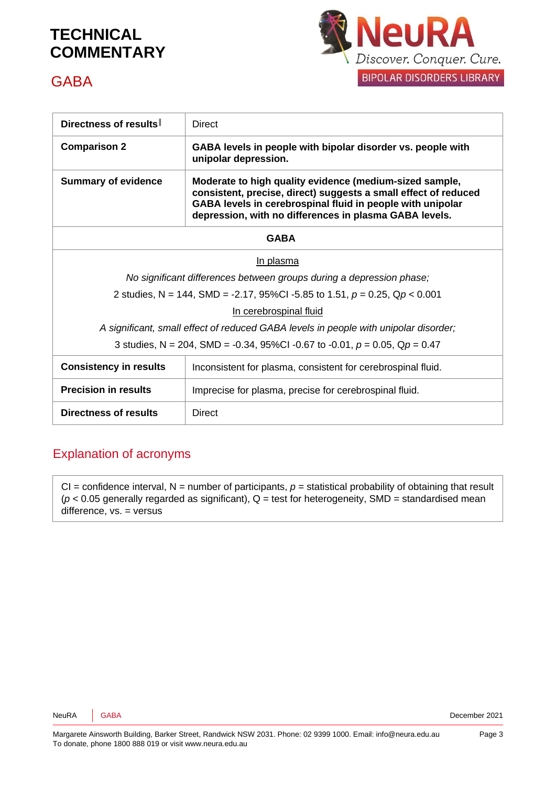

### **GABA**

| Directness of results                                                                | <b>Direct</b>                                                                                                                                                                                                                                      |
|--------------------------------------------------------------------------------------|----------------------------------------------------------------------------------------------------------------------------------------------------------------------------------------------------------------------------------------------------|
| <b>Comparison 2</b>                                                                  | GABA levels in people with bipolar disorder vs. people with<br>unipolar depression.                                                                                                                                                                |
| <b>Summary of evidence</b>                                                           | Moderate to high quality evidence (medium-sized sample,<br>consistent, precise, direct) suggests a small effect of reduced<br>GABA levels in cerebrospinal fluid in people with unipolar<br>depression, with no differences in plasma GABA levels. |
| <b>GABA</b>                                                                          |                                                                                                                                                                                                                                                    |
| In plasma                                                                            |                                                                                                                                                                                                                                                    |
| No significant differences between groups during a depression phase;                 |                                                                                                                                                                                                                                                    |
| 2 studies, N = 144, SMD = -2.17, 95%Cl -5.85 to 1.51, $p = 0.25$ , Qp < 0.001        |                                                                                                                                                                                                                                                    |
| In cerebrospinal fluid                                                               |                                                                                                                                                                                                                                                    |
| A significant, small effect of reduced GABA levels in people with unipolar disorder; |                                                                                                                                                                                                                                                    |
| 3 studies, N = 204, SMD = -0.34, 95%CI -0.67 to -0.01, $p = 0.05$ , Q $p = 0.47$     |                                                                                                                                                                                                                                                    |
| <b>Consistency in results</b>                                                        | Inconsistent for plasma, consistent for cerebrospinal fluid.                                                                                                                                                                                       |
| <b>Precision in results</b>                                                          | Imprecise for plasma, precise for cerebrospinal fluid.                                                                                                                                                                                             |
| Directness of results                                                                | <b>Direct</b>                                                                                                                                                                                                                                      |

#### Explanation of acronyms

 $CI =$  confidence interval,  $N =$  number of participants,  $p =$  statistical probability of obtaining that result  $(p < 0.05$  generally regarded as significant),  $Q =$  test for heterogeneity, SMD = standardised mean difference, vs. = versus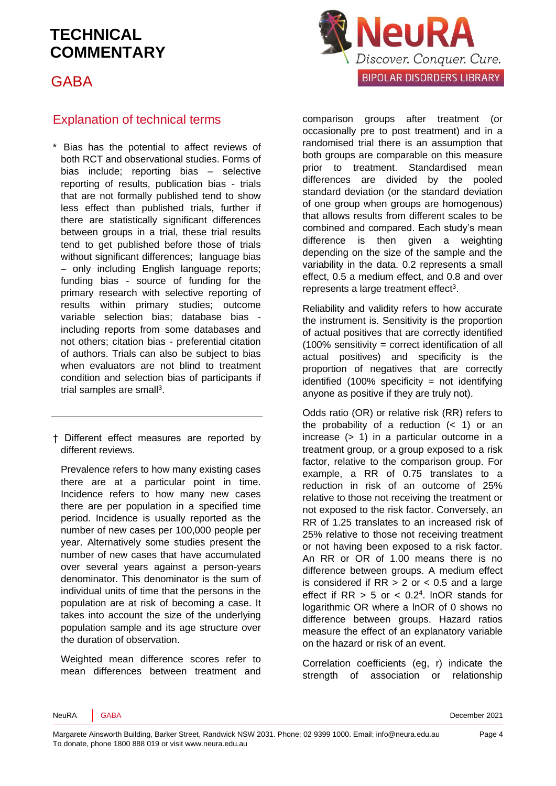GABA



#### Explanation of technical terms

\* Bias has the potential to affect reviews of both RCT and observational studies. Forms of bias include; reporting bias – selective reporting of results, publication bias - trials that are not formally published tend to show less effect than published trials, further if there are statistically significant differences between groups in a trial, these trial results tend to get published before those of trials without significant differences: language bias – only including English language reports; funding bias - source of funding for the primary research with selective reporting of results within primary studies; outcome variable selection bias; database bias including reports from some databases and not others; citation bias - preferential citation of authors. Trials can also be subject to bias when evaluators are not blind to treatment condition and selection bias of participants if trial samples are sma[ll](#page-5-2)<sup>3</sup>.

† Different effect measures are reported by different reviews.

Prevalence refers to how many existing cases there are at a particular point in time. Incidence refers to how many new cases there are per population in a specified time period. Incidence is usually reported as the number of new cases per 100,000 people per year. Alternatively some studies present the number of new cases that have accumulated over several years against a person-years denominator. This denominator is the sum of individual units of time that the persons in the population are at risk of becoming a case. It takes into account the size of the underlying population sample and its age structure over the duration of observation.

Weighted mean difference scores refer to mean differences between treatment and comparison groups after treatment (or occasionally pre to post treatment) and in a randomised trial there is an assumption that both groups are comparable on this measure prior to treatment. Standardised mean differences are divided by the pooled standard deviation (or the standard deviation of one group when groups are homogenous) that allows results from different scales to be combined and compared. Each study's mean difference is then given a weighting depending on the size of the sample and the variability in the data. 0.2 represents a small effect, 0.5 a medium effect, and 0.8 and over represen[t](#page-5-2)s a large treatment effect<sup>3</sup>.

Reliability and validity refers to how accurate the instrument is. Sensitivity is the proportion of actual positives that are correctly identified (100% sensitivity = correct identification of all actual positives) and specificity is the proportion of negatives that are correctly identified  $(100\%$  specificity = not identifying anyone as positive if they are truly not).

Odds ratio (OR) or relative risk (RR) refers to the probability of a reduction  $( $1$ )$  or an increase (> 1) in a particular outcome in a treatment group, or a group exposed to a risk factor, relative to the comparison group. For example, a RR of 0.75 translates to a reduction in risk of an outcome of 25% relative to those not receiving the treatment or not exposed to the risk factor. Conversely, an RR of 1.25 translates to an increased risk of 25% relative to those not receiving treatment or not having been exposed to a risk factor. An RR or OR of 1.00 means there is no difference between groups. A medium effect is considered if  $RR > 2$  or  $< 0.5$  and a large effect if  $RR > 5$  or  $< 0.2<sup>4</sup>$  $< 0.2<sup>4</sup>$  $< 0.2<sup>4</sup>$ . InOR stands for logarithmic OR where a lnOR of 0 shows no difference between groups. Hazard ratios measure the effect of an explanatory variable on the hazard or risk of an event.

Correlation coefficients (eg, r) indicate the strength of association or relationship

NeuRA GABA December 2021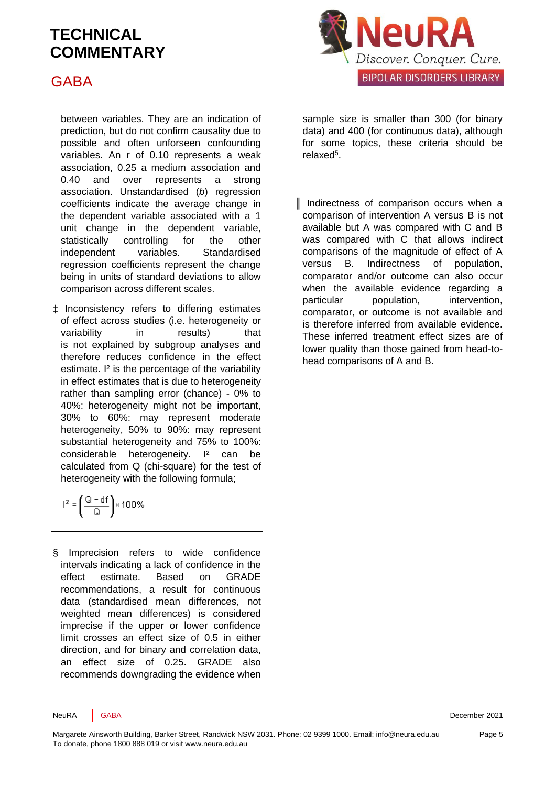## GABA

between variables. They are an indication of prediction, but do not confirm causality due to possible and often unforseen confounding variables. An r of 0.10 represents a weak association, 0.25 a medium association and 0.40 and over represents a strong association. Unstandardised (*b*) regression coefficients indicate the average change in the dependent variable associated with a 1 unit change in the dependent variable, statistically controlling for the other independent variables. Standardised regression coefficients represent the change being in units of standard deviations to allow comparison across different scales.

‡ Inconsistency refers to differing estimates of effect across studies (i.e. heterogeneity or variability in results) that is not explained by subgroup analyses and therefore reduces confidence in the effect estimate. I² is the percentage of the variability in effect estimates that is due to heterogeneity rather than sampling error (chance) - 0% to 40%: heterogeneity might not be important, 30% to 60%: may represent moderate heterogeneity, 50% to 90%: may represent substantial heterogeneity and 75% to 100%: considerable heterogeneity. I<sup>2</sup> can be calculated from Q (chi-square) for the test of heterogeneity with the following formula;

$$
l^2=\left(\frac{Q-df}{Q}\right)\times 100\%
$$

§ Imprecision refers to wide confidence intervals indicating a lack of confidence in the effect estimate. Based on GRADE recommendations, a result for continuous data (standardised mean differences, not weighted mean differences) is considered imprecise if the upper or lower confidence limit crosses an effect size of 0.5 in either direction, and for binary and correlation data, an effect size of 0.25. GRADE also recommends downgrading the evidence when



sample size is smaller than 300 (for binary data) and 400 (for continuous data), although for some topics, these criteria should be relaxe[d](#page-5-4)<sup>5</sup>.

║ Indirectness of comparison occurs when a comparison of intervention A versus B is not available but A was compared with C and B was compared with C that allows indirect comparisons of the magnitude of effect of A versus B. Indirectness of population, comparator and/or outcome can also occur when the available evidence regarding a particular population, intervention, comparator, or outcome is not available and is therefore inferred from available evidence. These inferred treatment effect sizes are of lower quality than those gained from head-tohead comparisons of A and B.

NeuRA GABA DECEMBER 2021